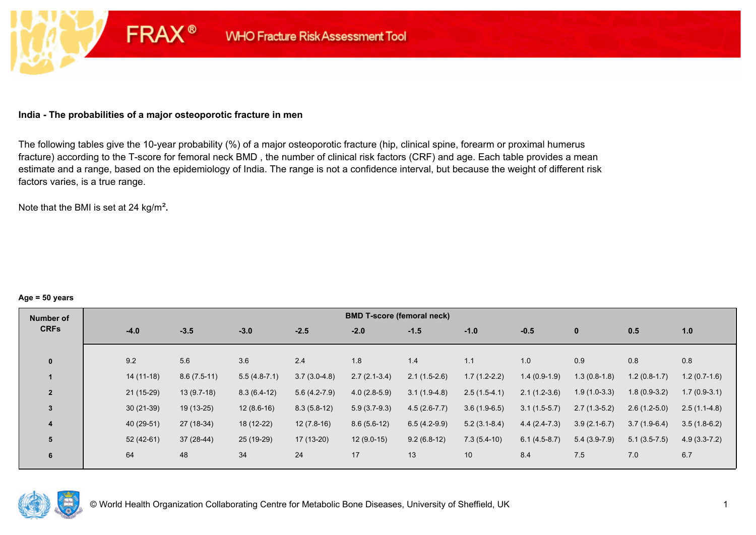## **India - The probabilities of a major osteoporotic fracture in men**

**FRAX®** 

The following tables give the 10-year probability (%) of a major osteoporotic fracture (hip, clinical spine, forearm or proximal humerus fracture) according to the T-score for femoral neck BMD , the number of clinical risk factors (CRF) and age. Each table provides a mean estimate and a range, based on the epidemiology of India. The range is not a confidence interval, but because the weight of different risk factors varies, is a true range.

Note that the BMI is set at 24 kg/m²**.** 

#### **Age = 50 years**

| Number of      |             |               |                |                | <b>BMD T-score (femoral neck)</b> |                |                |                |                |                |                |
|----------------|-------------|---------------|----------------|----------------|-----------------------------------|----------------|----------------|----------------|----------------|----------------|----------------|
| <b>CRFs</b>    | $-4.0$      | $-3.5$        | $-3.0$         | $-2.5$         | $-2.0$                            | $-1.5$         | $-1.0$         | $-0.5$         | $\bf{0}$       | 0.5            | 1.0            |
|                |             |               |                |                |                                   |                |                |                |                |                |                |
| $\mathbf{0}$   | 9.2         | 5.6           | 3.6            | 2.4            | 1.8                               | 1.4            | 1.1            | 1.0            | 0.9            | 0.8            | 0.8            |
|                | $14(11-18)$ | $8.6(7.5-11)$ | $5.5(4.8-7.1)$ | $3.7(3.0-4.8)$ | $2.7(2.1-3.4)$                    | $2.1(1.5-2.6)$ | $1.7(1.2-2.2)$ | $1.4(0.9-1.9)$ | $1.3(0.8-1.8)$ | $1.2(0.8-1.7)$ | $1.2(0.7-1.6)$ |
| $\overline{2}$ | 21 (15-29)  | $13(9.7-18)$  | $8.3(6.4-12)$  | $5.6(4.2-7.9)$ | $4.0(2.8-5.9)$                    | $3.1(1.9-4.8)$ | $2.5(1.5-4.1)$ | $2.1(1.2-3.6)$ | $1.9(1.0-3.3)$ | $1.8(0.9-3.2)$ | $1.7(0.9-3.1)$ |
| $\overline{3}$ | $30(21-39)$ | $19(13-25)$   | $12(8.6-16)$   | $8.3(5.8-12)$  | $5.9(3.7-9.3)$                    | $4.5(2.6-7.7)$ | $3.6(1.9-6.5)$ | $3.1(1.5-5.7)$ | $2.7(1.3-5.2)$ | $2.6(1.2-5.0)$ | $2.5(1.1-4.8)$ |
| 4              | 40 (29-51)  | 27 (18-34)    | 18 (12-22)     | $12(7.8-16)$   | $8.6(5.6-12)$                     | $6.5(4.2-9.9)$ | $5.2(3.1-8.4)$ | $4.4(2.4-7.3)$ | $3.9(2.1-6.7)$ | $3.7(1.9-6.4)$ | $3.5(1.8-6.2)$ |
| 5              | $52(42-61)$ | 37 (28-44)    | 25 (19-29)     | 17 (13-20)     | $12(9.0-15)$                      | $9.2(6.8-12)$  | $7.3(5.4-10)$  | $6.1(4.5-8.7)$ | $5.4(3.9-7.9)$ | $5.1(3.5-7.5)$ | $4.9(3.3-7.2)$ |
| 6              | 64          | 48            | 34             | 24             | 17                                | 13             | 10             | 8.4            | 7.5            | 7.0            | 6.7            |

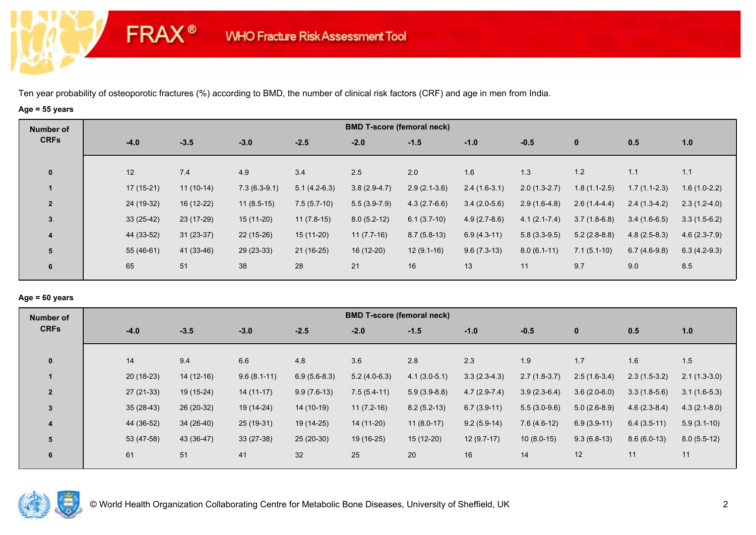# **Age = 55 years**

**FRAX®** 

| Number of               |             |             |                |                | <b>BMD T-score (femoral neck)</b> |                |                |                  |                |                |                |
|-------------------------|-------------|-------------|----------------|----------------|-----------------------------------|----------------|----------------|------------------|----------------|----------------|----------------|
| <b>CRFs</b>             | $-4.0$      | $-3.5$      | $-3.0$         | $-2.5$         | $-2.0$                            | $-1.5$         | $-1.0$         | $-0.5$           | $\bf{0}$       | 0.5            | 1.0            |
|                         |             |             |                |                |                                   |                |                |                  |                |                |                |
| $\mathbf 0$             | 12          | 7.4         | 4.9            | 3.4            | 2.5                               | 2.0            | 1.6            | 1.3              | 1.2            | 1.1            | 1.1            |
|                         | $17(15-21)$ | $11(10-14)$ | $7.3(6.3-9.1)$ | $5.1(4.2-6.3)$ | $3.8(2.9-4.7)$                    | $2.9(2.1-3.6)$ | $2.4(1.6-3.1)$ | $2.0(1.3-2.7)$   | $1.8(1.1-2.5)$ | $1.7(1.1-2.3)$ | $1.6(1.0-2.2)$ |
| $\overline{2}$          | 24 (19-32)  | 16 (12-22)  | $11(8.5-15)$   | $7.5(5.7-10)$  | $5.5(3.9-7.9)$                    | $4.3(2.7-6.6)$ | $3.4(2.0-5.6)$ | $2.9(1.6-4.8)$   | $2.6(1.4-4.4)$ | $2.4(1.3-4.2)$ | $2.3(1.2-4.0)$ |
| $\mathbf{3}$            | $33(25-42)$ | 23 (17-29)  | 15 (11-20)     | $11(7.8-15)$   | $8.0(5.2-12)$                     | $6.1(3.7-10)$  | $4.9(2.7-8.6)$ | $4.1(2.1 - 7.4)$ | $3.7(1.8-6.8)$ | $3.4(1.6-6.5)$ | $3.3(1.5-6.2)$ |
| $\overline{\mathbf{4}}$ | 44 (33-52)  | $31(23-37)$ | $22(15-26)$    | $15(11-20)$    | $11(7.7-16)$                      | $8.7(5.8-13)$  | $6.9(4.3-11)$  | $5.8(3.3-9.5)$   | $5.2(2.8-8.8)$ | $4.8(2.5-8.3)$ | $4.6(2.3-7.9)$ |
| 5                       | 55 (46-61)  | 41 (33-46)  | $29(23-33)$    | $21(16-25)$    | 16 (12-20)                        | $12(9.1-16)$   | $9.6(7.3-13)$  | $8.0(6.1-11)$    | $7.1(5.1-10)$  | $6.7(4.6-9.8)$ | $6.3(4.2-9.3)$ |
| 6                       | 65          | 51          | 38             | 28             | 21                                | 16             | 13             | 11               | 9.7            | 9.0            | 8.5            |
|                         |             |             |                |                |                                   |                |                |                  |                |                |                |

## **Age = 60 years**

| Number of      |             |             |               |                | <b>BMD T-score (femoral neck)</b> |                |                |                |                |                |                |
|----------------|-------------|-------------|---------------|----------------|-----------------------------------|----------------|----------------|----------------|----------------|----------------|----------------|
| <b>CRFs</b>    | $-4.0$      | $-3.5$      | $-3.0$        | $-2.5$         | $-2.0$                            | $-1.5$         | $-1.0$         | $-0.5$         | $\mathbf{0}$   | 0.5            | 1.0            |
| $\mathbf{0}$   | 14          | 9.4         | 6.6           | 4.8            | 3.6                               | 2.8            | 2.3            | 1.9            | 1.7            | 1.6            | 1.5            |
|                | $20(18-23)$ | $14(12-16)$ | $9.6(8.1-11)$ | $6.9(5.6-8.3)$ | $5.2(4.0-6.3)$                    | $4.1(3.0-5.1)$ | $3.3(2.3-4.3)$ | $2.7(1.8-3.7)$ | $2.5(1.6-3.4)$ | $2.3(1.5-3.2)$ | $2.1(1.3-3.0)$ |
| $\overline{2}$ | $27(21-33)$ | $19(15-24)$ | $14(11-17)$   | $9.9(7.6-13)$  | $7.5(5.4-11)$                     | $5.9(3.9-8.8)$ | $4.7(2.9-7.4)$ | $3.9(2.3-6.4)$ | $3.6(2.0-6.0)$ | $3.3(1.8-5.6)$ | $3.1(1.6-5.3)$ |
| 3              | $35(28-43)$ | 26 (20-32)  | 19 (14-24)    | 14 (10-19)     | $11(7.2-16)$                      | $8.2(5.2-13)$  | $6.7(3.9-11)$  | $5.5(3.0-9.6)$ | $5.0(2.6-8.9)$ | $4.6(2.3-8.4)$ | $4.3(2.1-8.0)$ |
| $\overline{4}$ | 44 (36-52)  | $34(26-40)$ | 25 (19-31)    | 19 (14-25)     | 14 (11-20)                        | $11(8.0-17)$   | $9.2(5.9-14)$  | $7.6(4.6-12)$  | $6.9(3.9-11)$  | $6.4(3.5-11)$  | $5.9(3.1-10)$  |
| 5              | 53 (47-58)  | 43 (36-47)  | $33(27-38)$   | $25(20-30)$    | $19(16-25)$                       | $15(12-20)$    | $12(9.7-17)$   | $10(8.0-15)$   | $9.3(6.8-13)$  | $8.6(6.0-13)$  | $8.0(5.5-12)$  |
| 6              | 61          | 51          | 41            | 32             | 25                                | 20             | 16             | 14             | 12             | 11             | 11             |

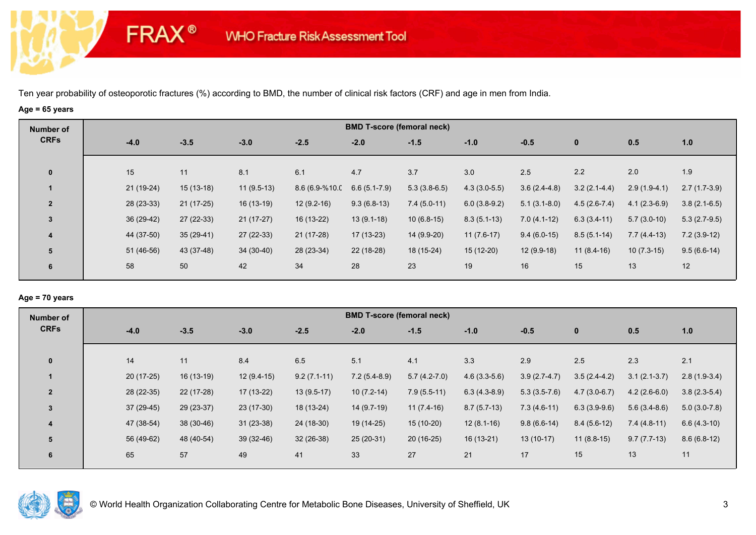# **Age = 65 years**

**FRAX®** 

| Number of               |             |             |              |                |                  | <b>BMD T-score (femoral neck)</b> |                |                |                |                |                |
|-------------------------|-------------|-------------|--------------|----------------|------------------|-----------------------------------|----------------|----------------|----------------|----------------|----------------|
| <b>CRFs</b>             | $-4.0$      | $-3.5$      | $-3.0$       | $-2.5$         | $-2.0$           | $-1.5$                            | $-1.0$         | $-0.5$         | $\bf{0}$       | 0.5            | 1.0            |
|                         |             |             |              |                |                  |                                   |                |                |                |                |                |
| $\bf{0}$                | 15          | 11          | 8.1          | 6.1            | 4.7              | 3.7                               | 3.0            | 2.5            | 2.2            | 2.0            | 1.9            |
|                         | 21 (19-24)  | $15(13-18)$ | $11(9.5-13)$ | 8.6 (6.9-%10.0 | $6.6(5.1 - 7.9)$ | $5.3(3.8-6.5)$                    | $4.3(3.0-5.5)$ | $3.6(2.4-4.8)$ | $3.2(2.1-4.4)$ | $2.9(1.9-4.1)$ | $2.7(1.7-3.9)$ |
| $\overline{2}$          | 28 (23-33)  | $21(17-25)$ | 16 (13-19)   | $12(9.2-16)$   | $9.3(6.8-13)$    | $7.4(5.0-11)$                     | $6.0(3.8-9.2)$ | $5.1(3.1-8.0)$ | $4.5(2.6-7.4)$ | $4.1(2.3-6.9)$ | $3.8(2.1-6.5)$ |
| 3                       | $36(29-42)$ | $27(22-33)$ | $21(17-27)$  | 16 (13-22)     | $13(9.1-18)$     | $10(6.8-15)$                      | $8.3(5.1-13)$  | $7.0(4.1-12)$  | $6.3(3.4-11)$  | $5.7(3.0-10)$  | $5.3(2.7-9.5)$ |
| $\overline{\mathbf{4}}$ | 44 (37-50)  | $35(29-41)$ | $27(22-33)$  | $21(17-28)$    | 17 (13-23)       | 14 (9.9-20)                       | $11(7.6-17)$   | $9.4(6.0-15)$  | $8.5(5.1-14)$  | $7.7(4.4-13)$  | $7.2(3.9-12)$  |
| 5                       | 51 (46-56)  | 43 (37-48)  | 34 (30-40)   | 28 (23-34)     | 22 (18-28)       | 18 (15-24)                        | 15 (12-20)     | $12(9.9-18)$   | $11(8.4-16)$   | $10(7.3-15)$   | $9.5(6.6-14)$  |
| 6                       | 58          | 50          | 42           | 34             | 28               | 23                                | 19             | 16             | 15             | 13             | 12             |
|                         |             |             |              |                |                  |                                   |                |                |                |                |                |

## **Age = 70 years**

| Number of      |             |             |              |               |                | <b>BMD T-score (femoral neck)</b> |                |                |                |                |                |
|----------------|-------------|-------------|--------------|---------------|----------------|-----------------------------------|----------------|----------------|----------------|----------------|----------------|
| <b>CRFs</b>    | $-4.0$      | $-3.5$      | $-3.0$       | $-2.5$        | $-2.0$         | $-1.5$                            | $-1.0$         | $-0.5$         | $\mathbf 0$    | 0.5            | 1.0            |
|                |             |             |              |               |                |                                   |                |                |                |                |                |
| $\mathbf{0}$   | 14          | 11          | 8.4          | 6.5           | 5.1            | 4.1                               | 3.3            | 2.9            | 2.5            | 2.3            | 2.1            |
|                | $20(17-25)$ | $16(13-19)$ | $12(9.4-15)$ | $9.2(7.1-11)$ | $7.2(5.4-8.9)$ | $5.7(4.2-7.0)$                    | $4.6(3.3-5.6)$ | $3.9(2.7-4.7)$ | $3.5(2.4-4.2)$ | $3.1(2.1-3.7)$ | $2.8(1.9-3.4)$ |
| $\overline{2}$ | 28 (22-35)  | 22 (17-28)  | $17(13-22)$  | $13(9.5-17)$  | $10(7.2-14)$   | $7.9(5.5-11)$                     | $6.3(4.3-8.9)$ | $5.3(3.5-7.6)$ | $4.7(3.0-6.7)$ | $4.2(2.6-6.0)$ | $3.8(2.3-5.4)$ |
| $\overline{3}$ | $37(29-45)$ | 29 (23-37)  | $23(17-30)$  | 18 (13-24)    | $14(9.7-19)$   | $11(7.4-16)$                      | $8.7(5.7-13)$  | $7.3(4.6-11)$  | $6.3(3.9-9.6)$ | $5.6(3.4-8.6)$ | $5.0(3.0-7.8)$ |
| 4              | 47 (38-54)  | 38 (30-46)  | $31(23-38)$  | 24 (18-30)    | 19 (14-25)     | $15(10-20)$                       | $12(8.1-16)$   | $9.8(6.6-14)$  | $8.4(5.6-12)$  | $7.4(4.8-11)$  | $6.6(4.3-10)$  |
| 5              | 56 (49-62)  | 48 (40-54)  | $39(32-46)$  | $32(26-38)$   | $25(20-31)$    | $20(16-25)$                       | $16(13-21)$    | $13(10-17)$    | $11(8.8-15)$   | $9.7(7.7-13)$  | $8.6(6.8-12)$  |
| 6              | 65          | 57          | 49           | 41            | 33             | 27                                | 21             | 17             | 15             | 13             | 11             |
|                |             |             |              |               |                |                                   |                |                |                |                |                |

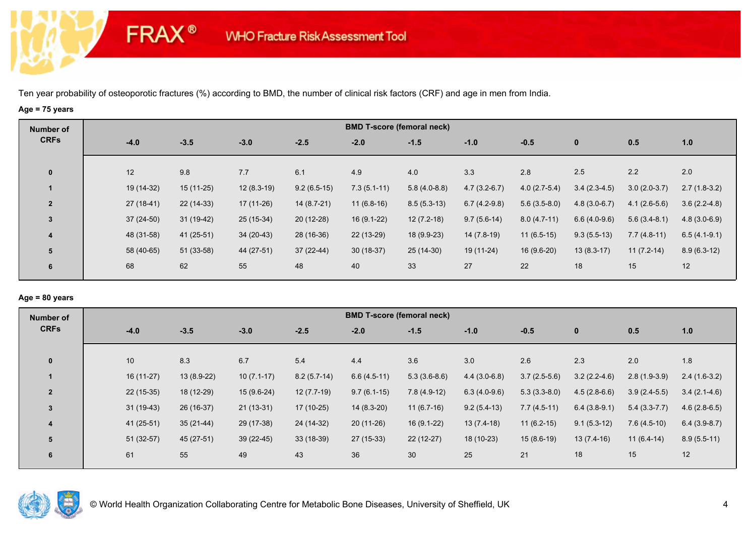# **Age = 75 years**

**FRAX®** 

| Number of               |             |             |              |               | <b>BMD T-score (femoral neck)</b> |                |                |                |                |                |                |
|-------------------------|-------------|-------------|--------------|---------------|-----------------------------------|----------------|----------------|----------------|----------------|----------------|----------------|
| <b>CRFs</b>             | $-4.0$      | $-3.5$      | $-3.0$       | $-2.5$        | $-2.0$                            | $-1.5$         | $-1.0$         | $-0.5$         | $\bf{0}$       | 0.5            | 1.0            |
| $\bf{0}$                | 12          | 9.8         | 7.7          | 6.1           | 4.9                               | 4.0            | 3.3            | 2.8            | 2.5            | 2.2            | 2.0            |
|                         | 19 (14-32)  | $15(11-25)$ | $12(8.3-19)$ | $9.2(6.5-15)$ | $7.3(5.1-11)$                     | $5.8(4.0-8.8)$ | $4.7(3.2-6.7)$ | $4.0(2.7-5.4)$ | $3.4(2.3-4.5)$ | $3.0(2.0-3.7)$ | $2.7(1.8-3.2)$ |
| $\overline{2}$          | $27(18-41)$ | $22(14-33)$ | $17(11-26)$  | 14 (8.7-21)   | $11(6.8-16)$                      | $8.5(5.3-13)$  | $6.7(4.2-9.8)$ | $5.6(3.5-8.0)$ | $4.8(3.0-6.7)$ | $4.1(2.6-5.6)$ | $3.6(2.2-4.8)$ |
| $\overline{3}$          | $37(24-50)$ | $31(19-42)$ | 25 (15-34)   | $20(12-28)$   | $16(9.1-22)$                      | $12(7.2-18)$   | $9.7(5.6-14)$  | $8.0(4.7-11)$  | $6.6(4.0-9.6)$ | $5.6(3.4-8.1)$ | $4.8(3.0-6.9)$ |
| $\overline{\mathbf{4}}$ | 48 (31-58)  | 41 (25-51)  | $34(20-43)$  | 28 (16-36)    | 22 (13-29)                        | 18 (9.9-23)    | 14 (7.8-19)    | $11(6.5-15)$   | $9.3(5.5-13)$  | $7.7(4.8-11)$  | $6.5(4.1-9.1)$ |
| 5                       | 58 (40-65)  | $51(33-58)$ | 44 (27-51)   | $37(22-44)$   | $30(18-37)$                       | $25(14-30)$    | 19 (11-24)     | $16(9.6-20)$   | $13(8.3-17)$   | $11(7.2-14)$   | $8.9(6.3-12)$  |
| 6                       | 68          | 62          | 55           | 48            | 40                                | 33             | 27             | 22             | 18             | 15             | 12             |

## **Age = 80 years**

| Number of      |             |              |              |               |               | <b>BMD T-score (femoral neck)</b> |                |                |                |                |                |
|----------------|-------------|--------------|--------------|---------------|---------------|-----------------------------------|----------------|----------------|----------------|----------------|----------------|
| <b>CRFs</b>    | $-4.0$      | $-3.5$       | $-3.0$       | $-2.5$        | $-2.0$        | $-1.5$                            | $-1.0$         | $-0.5$         | $\mathbf 0$    | 0.5            | 1.0            |
|                |             |              |              |               |               |                                   |                |                |                |                |                |
| $\mathbf{0}$   | 10          | 8.3          | 6.7          | 5.4           | 4.4           | 3.6                               | 3.0            | 2.6            | 2.3            | 2.0            | 1.8            |
|                | $16(11-27)$ | $13(8.9-22)$ | $10(7.1-17)$ | $8.2(5.7-14)$ | $6.6(4.5-11)$ | $5.3(3.6-8.6)$                    | $4.4(3.0-6.8)$ | $3.7(2.5-5.6)$ | $3.2(2.2-4.6)$ | $2.8(1.9-3.9)$ | $2.4(1.6-3.2)$ |
| $\overline{2}$ | $22(15-35)$ | 18 (12-29)   | $15(9.6-24)$ | $12(7.7-19)$  | $9.7(6.1-15)$ | $7.8(4.9-12)$                     | $6.3(4.0-9.6)$ | $5.3(3.3-8.0)$ | $4.5(2.8-6.6)$ | $3.9(2.4-5.5)$ | $3.4(2.1-4.6)$ |
| $\overline{3}$ | $31(19-43)$ | 26 (16-37)   | $21(13-31)$  | 17 (10-25)    | $14(8.3-20)$  | $11(6.7-16)$                      | $9.2(5.4-13)$  | $7.7(4.5-11)$  | $6.4(3.8-9.1)$ | $5.4(3.3-7.7)$ | $4.6(2.8-6.5)$ |
| 4              | 41 (25-51)  | $35(21-44)$  | 29 (17-38)   | 24 (14-32)    | $20(11-26)$   | $16(9.1-22)$                      | $13(7.4-18)$   | $11(6.2-15)$   | $9.1(5.3-12)$  | $7.6(4.5-10)$  | $6.4(3.9-8.7)$ |
| 5              | $51(32-57)$ | $45(27-51)$  | $39(22-45)$  | $33(18-39)$   | 27 (15-33)    | $22(12-27)$                       | 18 (10-23)     | $15(8.6-19)$   | $13(7.4-16)$   | $11(6.4-14)$   | $8.9(5.5-11)$  |
| 6              | 61          | 55           | 49           | 43            | 36            | 30                                | 25             | 21             | 18             | 15             | 12             |
|                |             |              |              |               |               |                                   |                |                |                |                |                |